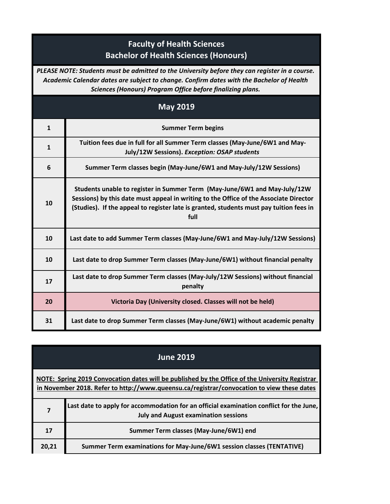## **Faculty of Health Sciences Bachelor of Health Sciences (Honours)**

*PLEASE NOTE: Students must be admitted to the University before they can register in a course. Academic Calendar dates are subject to change. Confirm dates with the Bachelor of Health Sciences (Honours) Program Office before finalizing plans.*

| <b>May 2019</b> |                                                                                                                                                                                                                                                                       |
|-----------------|-----------------------------------------------------------------------------------------------------------------------------------------------------------------------------------------------------------------------------------------------------------------------|
| $\mathbf{1}$    | <b>Summer Term begins</b>                                                                                                                                                                                                                                             |
| $\mathbf{1}$    | Tuition fees due in full for all Summer Term classes (May-June/6W1 and May-<br>July/12W Sessions). Exception: OSAP students                                                                                                                                           |
| 6               | Summer Term classes begin (May-June/6W1 and May-July/12W Sessions)                                                                                                                                                                                                    |
| 10              | Students unable to register in Summer Term (May-June/6W1 and May-July/12W<br>Sessions) by this date must appeal in writing to the Office of the Associate Director<br>(Studies). If the appeal to register late is granted, students must pay tuition fees in<br>full |
| 10              | Last date to add Summer Term classes (May-June/6W1 and May-July/12W Sessions)                                                                                                                                                                                         |
| 10              | Last date to drop Summer Term classes (May-June/6W1) without financial penalty                                                                                                                                                                                        |
| 17              | Last date to drop Summer Term classes (May-July/12W Sessions) without financial<br>penalty                                                                                                                                                                            |
| 20              | Victoria Day (University closed. Classes will not be held)                                                                                                                                                                                                            |
| 31              | Last date to drop Summer Term classes (May-June/6W1) without academic penalty                                                                                                                                                                                         |

|                                                                                                                                                                                               | <b>June 2019</b>                                                                                                                       |
|-----------------------------------------------------------------------------------------------------------------------------------------------------------------------------------------------|----------------------------------------------------------------------------------------------------------------------------------------|
| NOTE: Spring 2019 Convocation dates will be published by the Office of the University Registrar<br>in November 2018. Refer to http://www.queensu.ca/registrar/convocation to view these dates |                                                                                                                                        |
| 7                                                                                                                                                                                             | Last date to apply for accommodation for an official examination conflict for the June,<br><b>July and August examination sessions</b> |
| 17                                                                                                                                                                                            | Summer Term classes (May-June/6W1) end                                                                                                 |
| 20,21                                                                                                                                                                                         | Summer Term examinations for May-June/6W1 session classes (TENTATIVE)                                                                  |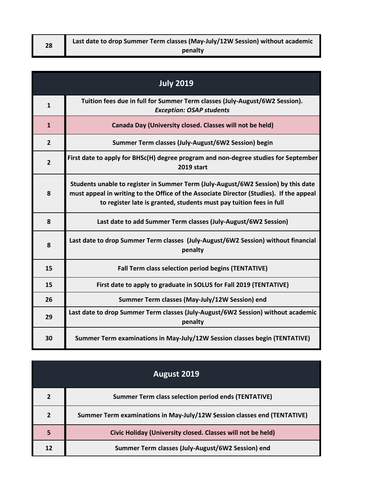| Last date to drop Summer Term classes (May-July/12W Session) without academic |
|-------------------------------------------------------------------------------|
| penalty                                                                       |

| <b>July 2019</b> |                                                                                                                                                                                                                                                     |
|------------------|-----------------------------------------------------------------------------------------------------------------------------------------------------------------------------------------------------------------------------------------------------|
| $\mathbf{1}$     | Tuition fees due in full for Summer Term classes (July-August/6W2 Session).<br><b>Exception: OSAP students</b>                                                                                                                                      |
| $\mathbf{1}$     | Canada Day (University closed. Classes will not be held)                                                                                                                                                                                            |
| $\overline{2}$   | Summer Term classes (July-August/6W2 Session) begin                                                                                                                                                                                                 |
| $\overline{2}$   | First date to apply for BHSc(H) degree program and non-degree studies for September<br><b>2019 start</b>                                                                                                                                            |
| 8                | Students unable to register in Summer Term (July-August/6W2 Session) by this date<br>must appeal in writing to the Office of the Associate Director (Studies). If the appeal<br>to register late is granted, students must pay tuition fees in full |
| 8                | Last date to add Summer Term classes (July-August/6W2 Session)                                                                                                                                                                                      |
| 8                | Last date to drop Summer Term classes (July-August/6W2 Session) without financial<br>penalty                                                                                                                                                        |
| 15               | Fall Term class selection period begins (TENTATIVE)                                                                                                                                                                                                 |
| 15               | First date to apply to graduate in SOLUS for Fall 2019 (TENTATIVE)                                                                                                                                                                                  |
| 26               | Summer Term classes (May-July/12W Session) end                                                                                                                                                                                                      |
| 29               | Last date to drop Summer Term classes (July-August/6W2 Session) without academic<br>penalty                                                                                                                                                         |
| 30               | Summer Term examinations in May-July/12W Session classes begin (TENTATIVE)                                                                                                                                                                          |

|                | <b>August 2019</b>                                                       |
|----------------|--------------------------------------------------------------------------|
| $\overline{2}$ | <b>Summer Term class selection period ends (TENTATIVE)</b>               |
| $\overline{2}$ | Summer Term examinations in May-July/12W Session classes end (TENTATIVE) |
| 5              | Civic Holiday (University closed. Classes will not be held)              |
| 12             | Summer Term classes (July-August/6W2 Session) end                        |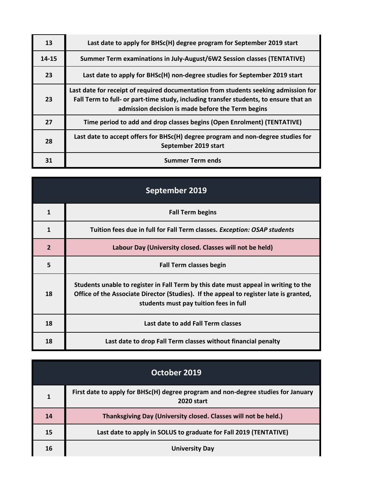| 13        | Last date to apply for BHSc(H) degree program for September 2019 start                                                                                                                                                            |
|-----------|-----------------------------------------------------------------------------------------------------------------------------------------------------------------------------------------------------------------------------------|
| $14 - 15$ | Summer Term examinations in July-August/6W2 Session classes (TENTATIVE)                                                                                                                                                           |
| 23        | Last date to apply for BHSc(H) non-degree studies for September 2019 start                                                                                                                                                        |
| 23        | Last date for receipt of required documentation from students seeking admission for<br>Fall Term to full- or part-time study, including transfer students, to ensure that an<br>admission decision is made before the Term begins |
| 27        | Time period to add and drop classes begins (Open Enrolment) (TENTATIVE)                                                                                                                                                           |
| 28        | Last date to accept offers for BHSc(H) degree program and non-degree studies for<br>September 2019 start                                                                                                                          |
| 31        | <b>Summer Term ends</b>                                                                                                                                                                                                           |

| September 2019 |                                                                                                                                                                                                                         |
|----------------|-------------------------------------------------------------------------------------------------------------------------------------------------------------------------------------------------------------------------|
| $\mathbf{1}$   | <b>Fall Term begins</b>                                                                                                                                                                                                 |
| $\mathbf{1}$   | Tuition fees due in full for Fall Term classes. Exception: OSAP students                                                                                                                                                |
| $\overline{2}$ | Labour Day (University closed. Classes will not be held)                                                                                                                                                                |
| 5              | <b>Fall Term classes begin</b>                                                                                                                                                                                          |
| 18             | Students unable to register in Fall Term by this date must appeal in writing to the<br>Office of the Associate Director (Studies). If the appeal to register late is granted,<br>students must pay tuition fees in full |
| 18             | Last date to add Fall Term classes                                                                                                                                                                                      |
| 18             | Last date to drop Fall Term classes without financial penalty                                                                                                                                                           |

| October 2019 |                                                                                                        |
|--------------|--------------------------------------------------------------------------------------------------------|
| 1            | First date to apply for BHSc(H) degree program and non-degree studies for January<br><b>2020 start</b> |
| 14           | Thanksgiving Day (University closed. Classes will not be held.)                                        |
| 15           | Last date to apply in SOLUS to graduate for Fall 2019 (TENTATIVE)                                      |
| 16           | <b>University Day</b>                                                                                  |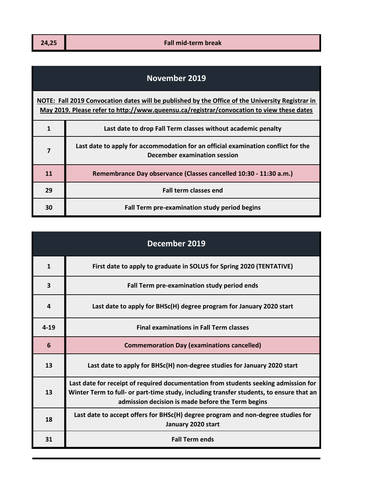## **November 2019**

**[NOTE: Fa](http://www.queensu.ca/registrar/convocation)ll 2019 Convocation dates will be published by the Office of the University Registrar in [May 201](http://www.queensu.ca/registrar/convocation)9. Please refer to http://www.queensu.ca/registrar/convocation to view these dates**

|    | Last date to drop Fall Term classes without academic penalty                                                      |
|----|-------------------------------------------------------------------------------------------------------------------|
|    | Last date to apply for accommodation for an official examination conflict for the<br>December examination session |
| 11 | Remembrance Day observance (Classes cancelled 10:30 - 11:30 a.m.)                                                 |
| 29 | <b>Fall term classes end</b>                                                                                      |
| 30 | Fall Term pre-examination study period begins                                                                     |

| December 2019   |                                                                                                                                                                                                                                     |
|-----------------|-------------------------------------------------------------------------------------------------------------------------------------------------------------------------------------------------------------------------------------|
| $\mathbf{1}$    | First date to apply to graduate in SOLUS for Spring 2020 (TENTATIVE)                                                                                                                                                                |
| 3               | Fall Term pre-examination study period ends                                                                                                                                                                                         |
| 4               | Last date to apply for BHSc(H) degree program for January 2020 start                                                                                                                                                                |
| $4 - 19$        | <b>Final examinations in Fall Term classes</b>                                                                                                                                                                                      |
| $6\phantom{1}6$ | <b>Commemoration Day (examinations cancelled)</b>                                                                                                                                                                                   |
| 13              | Last date to apply for BHSc(H) non-degree studies for January 2020 start                                                                                                                                                            |
| 13              | Last date for receipt of required documentation from students seeking admission for<br>Winter Term to full- or part-time study, including transfer students, to ensure that an<br>admission decision is made before the Term begins |
| 18              | Last date to accept offers for BHSc(H) degree program and non-degree studies for<br>January 2020 start                                                                                                                              |
| 31              | <b>Fall Term ends</b>                                                                                                                                                                                                               |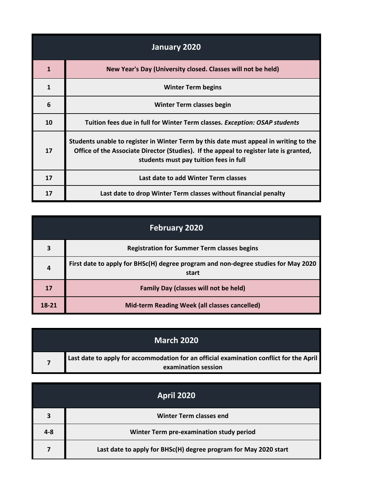| January 2020 |                                                                                                                                                                                                                           |
|--------------|---------------------------------------------------------------------------------------------------------------------------------------------------------------------------------------------------------------------------|
| 1            | New Year's Day (University closed. Classes will not be held)                                                                                                                                                              |
| 1            | <b>Winter Term begins</b>                                                                                                                                                                                                 |
| 6            | Winter Term classes begin                                                                                                                                                                                                 |
| 10           | Tuition fees due in full for Winter Term classes. Exception: OSAP students                                                                                                                                                |
| 17           | Students unable to register in Winter Term by this date must appeal in writing to the<br>Office of the Associate Director (Studies). If the appeal to register late is granted,<br>students must pay tuition fees in full |
| 17           | Last date to add Winter Term classes                                                                                                                                                                                      |
| 17           | Last date to drop Winter Term classes without financial penalty                                                                                                                                                           |

| <b>February 2020</b> |                                                                                             |
|----------------------|---------------------------------------------------------------------------------------------|
| 3                    | <b>Registration for Summer Term classes begins</b>                                          |
| 4                    | First date to apply for BHSc(H) degree program and non-degree studies for May 2020<br>start |
| 17                   | <b>Family Day (classes will not be held)</b>                                                |
| 18-21                | Mid-term Reading Week (all classes cancelled)                                               |

| <b>March 2020</b>                                                                                              |
|----------------------------------------------------------------------------------------------------------------|
| Last date to apply for accommodation for an official examination conflict for the April<br>examination session |

| <b>April 2020</b> |                                                                  |
|-------------------|------------------------------------------------------------------|
| 3                 | <b>Winter Term classes end</b>                                   |
| $4 - 8$           | Winter Term pre-examination study period                         |
|                   | Last date to apply for BHSc(H) degree program for May 2020 start |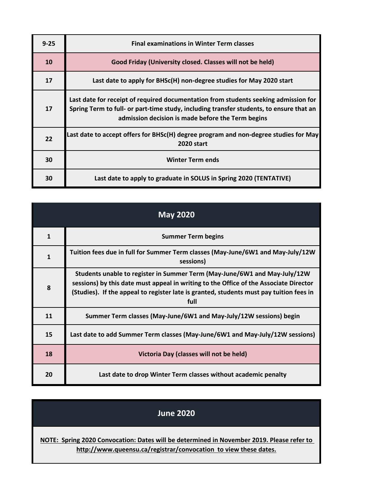| $9 - 25$  | <b>Final examinations in Winter Term classes</b>                                                                                                                                                                                    |
|-----------|-------------------------------------------------------------------------------------------------------------------------------------------------------------------------------------------------------------------------------------|
| <b>10</b> | Good Friday (University closed. Classes will not be held)                                                                                                                                                                           |
| 17        | Last date to apply for BHSc(H) non-degree studies for May 2020 start                                                                                                                                                                |
| 17        | Last date for receipt of required documentation from students seeking admission for<br>Spring Term to full- or part-time study, including transfer students, to ensure that an<br>admission decision is made before the Term begins |
| 22        | Last date to accept offers for BHSc(H) degree program and non-degree studies for May<br><b>2020 start</b>                                                                                                                           |
| 30        | <b>Winter Term ends</b>                                                                                                                                                                                                             |
| 30        | Last date to apply to graduate in SOLUS in Spring 2020 (TENTATIVE)                                                                                                                                                                  |

| <b>May 2020</b> |                                                                                                                                                                                                                                                                       |
|-----------------|-----------------------------------------------------------------------------------------------------------------------------------------------------------------------------------------------------------------------------------------------------------------------|
| $\mathbf{1}$    | <b>Summer Term begins</b>                                                                                                                                                                                                                                             |
| $\mathbf{1}$    | Tuition fees due in full for Summer Term classes (May-June/6W1 and May-July/12W<br>sessions)                                                                                                                                                                          |
| 8               | Students unable to register in Summer Term (May-June/6W1 and May-July/12W<br>sessions) by this date must appeal in writing to the Office of the Associate Director<br>(Studies). If the appeal to register late is granted, students must pay tuition fees in<br>full |
| 11              | Summer Term classes (May-June/6W1 and May-July/12W sessions) begin                                                                                                                                                                                                    |
| 15              | Last date to add Summer Term classes (May-June/6W1 and May-July/12W sessions)                                                                                                                                                                                         |
| 18              | Victoria Day (classes will not be held)                                                                                                                                                                                                                               |
| 20              | Last date to drop Winter Term classes without academic penalty                                                                                                                                                                                                        |

## **June 2020**

**[NOTE: Sp](http://www.queensu.ca/registrar/convocation)ring 2020 Convocation: Dates will be determined in November 2019. Please refer to http://www.queensu.ca/registrar/convocation to view these dates.**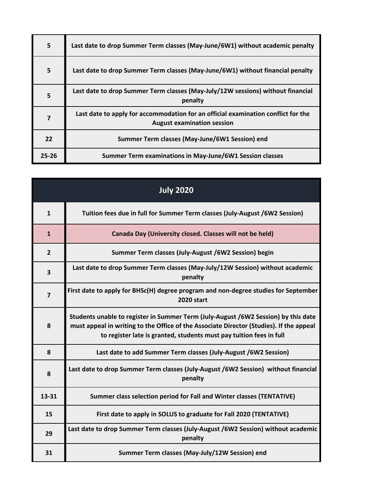| 5     | Last date to drop Summer Term classes (May-June/6W1) without academic penalty                                          |
|-------|------------------------------------------------------------------------------------------------------------------------|
| 5     | Last date to drop Summer Term classes (May-June/6W1) without financial penalty                                         |
| 5     | Last date to drop Summer Term classes (May-July/12W sessions) without financial<br>penalty                             |
| 7     | Last date to apply for accommodation for an official examination conflict for the<br><b>August examination session</b> |
| 22    | Summer Term classes (May-June/6W1 Session) end                                                                         |
| 25-26 | Summer Term examinations in May-June/6W1 Session classes                                                               |

| <b>July 2020</b>        |                                                                                                                                                                                                                                                      |
|-------------------------|------------------------------------------------------------------------------------------------------------------------------------------------------------------------------------------------------------------------------------------------------|
| $\mathbf{1}$            | Tuition fees due in full for Summer Term classes (July-August /6W2 Session)                                                                                                                                                                          |
| $\mathbf{1}$            | Canada Day (University closed. Classes will not be held)                                                                                                                                                                                             |
| $\overline{2}$          | Summer Term classes (July-August /6W2 Session) begin                                                                                                                                                                                                 |
| $\overline{\mathbf{3}}$ | Last date to drop Summer Term classes (May-July/12W Session) without academic<br>penalty                                                                                                                                                             |
| $\overline{\mathbf{z}}$ | First date to apply for BHSc(H) degree program and non-degree studies for September<br><b>2020 start</b>                                                                                                                                             |
| 8                       | Students unable to register in Summer Term (July-August /6W2 Session) by this date<br>must appeal in writing to the Office of the Associate Director (Studies). If the appeal<br>to register late is granted, students must pay tuition fees in full |
| 8                       | Last date to add Summer Term classes (July-August /6W2 Session)                                                                                                                                                                                      |
| 8                       | Last date to drop Summer Term classes (July-August /6W2 Session) without financial<br>penalty                                                                                                                                                        |
| 13-31                   | Summer class selection period for Fall and Winter classes (TENTATIVE)                                                                                                                                                                                |
| 15                      | First date to apply in SOLUS to graduate for Fall 2020 (TENTATIVE)                                                                                                                                                                                   |
| 29                      | Last date to drop Summer Term classes (July-August /6W2 Session) without academic<br>penalty                                                                                                                                                         |
| 31                      | Summer Term classes (May-July/12W Session) end                                                                                                                                                                                                       |